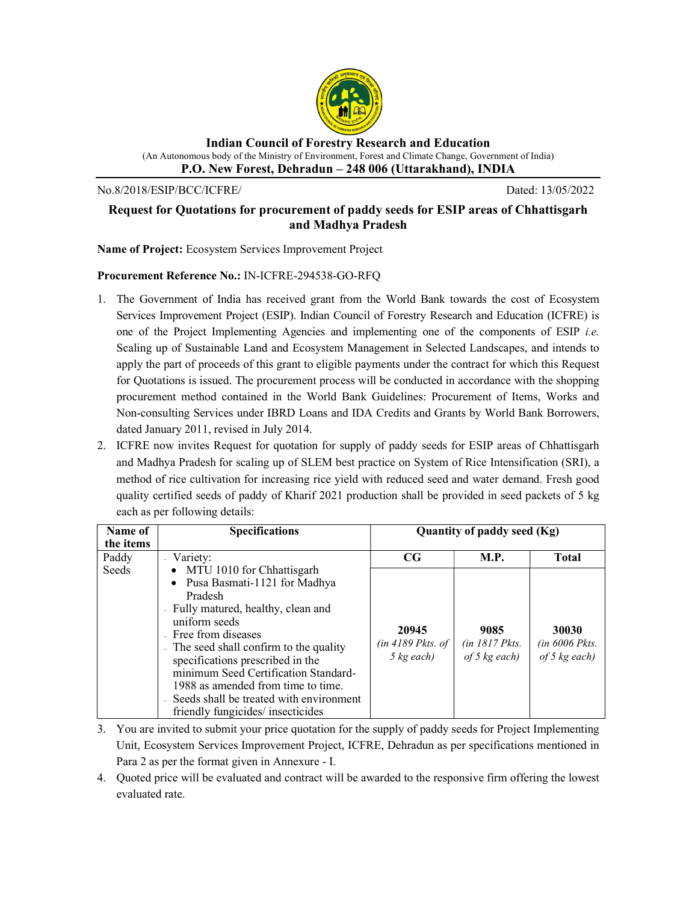

Indian Council of Forestry Research and Education (An Autonomous body of the Ministry of Environment, Forest and Climate Change, Government of India) P.O. New Forest, Dehradun – 248 006 (Uttarakhand), INDIA

No.8/2018/ESIP/BCC/ICFRE/ Dated: 13/05/2022

## Request for Quotations for procurement of paddy seeds for ESIP areas of Chhattisgarh and Madhya Pradesh

Name of Project: Ecosystem Services Improvement Project

## Procurement Reference No.: IN-ICFRE-294538-GO-RFQ

- 1. The Government of India has received grant from the World Bank towards the cost of Ecosystem Services Improvement Project (ESIP). Indian Council of Forestry Research and Education (ICFRE) is one of the Project Implementing Agencies and implementing one of the components of ESIP i.e. Scaling up of Sustainable Land and Ecosystem Management in Selected Landscapes, and intends to apply the part of proceeds of this grant to eligible payments under the contract for which this Request for Quotations is issued. The procurement process will be conducted in accordance with the shopping procurement method contained in the World Bank Guidelines: Procurement of Items, Works and Non-consulting Services under IBRD Loans and IDA Credits and Grants by World Bank Borrowers, dated January 2011, revised in July 2014.
- 2. ICFRE now invites Request for quotation for supply of paddy seeds for ESIP areas of Chhattisgarh and Madhya Pradesh for scaling up of SLEM best practice on System of Rice Intensification (SRI), a method of rice cultivation for increasing rice yield with reduced seed and water demand. Fresh good quality certified seeds of paddy of Kharif 2021 production shall be provided in seed packets of 5 kg each as per following details:

| Name of                     | <b>Specifications</b>                                                                                                                                                                                                                                                                                                                                                    | Quantity of paddy seed (Kg)                          |                                             |                                              |
|-----------------------------|--------------------------------------------------------------------------------------------------------------------------------------------------------------------------------------------------------------------------------------------------------------------------------------------------------------------------------------------------------------------------|------------------------------------------------------|---------------------------------------------|----------------------------------------------|
| the items<br>Paddy<br>Seeds | Variety:<br>• MTU 1010 for Chhattisgarh                                                                                                                                                                                                                                                                                                                                  | $_{\rm CG}$                                          | <b>M.P.</b>                                 | <b>Total</b>                                 |
|                             | • Pusa Basmati-1121 for Madhya<br>Pradesh<br>- Fully matured, healthy, clean and<br>uniform seeds<br>- Free from diseases<br>- The seed shall confirm to the quality<br>specifications prescribed in the<br>minimum Seed Certification Standard-<br>1988 as amended from time to time.<br>- Seeds shall be treated with environment<br>friendly fungicides/ insecticides | 20945<br>$(in 4189$ Pkts. of<br>$5 \text{ kg}$ each) | 9085<br>$(in 1817$ Pkts.<br>of 5 $kg$ each) | 30030<br>$(in 6006$ Pkts.<br>of 5 $kg$ each) |

- 3. You are invited to submit your price quotation for the supply of paddy seeds for Project Implementing Unit, Ecosystem Services Improvement Project, ICFRE, Dehradun as per specifications mentioned in Para 2 as per the format given in Annexure - I.
- 4. Quoted price will be evaluated and contract will be awarded to the responsive firm offering the lowest evaluated rate.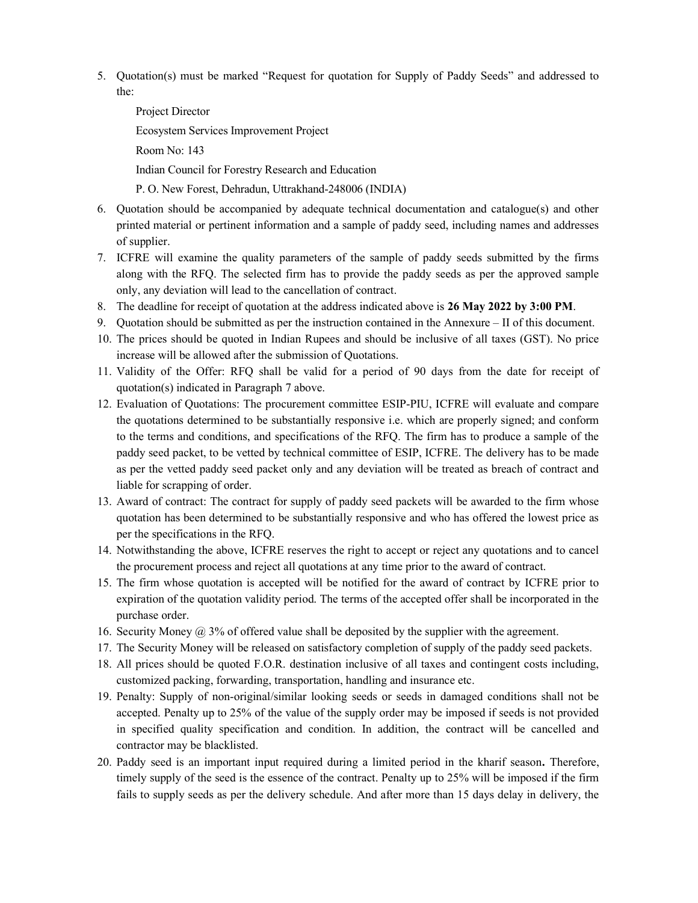- 5. Quotation(s) must be marked "Request for quotation for Supply of Paddy Seeds" and addressed to the:
	- Project Director Ecosystem Services Improvement Project Room No: 143 Indian Council for Forestry Research and Education P. O. New Forest, Dehradun, Uttrakhand-248006 (INDIA)
- 6. Quotation should be accompanied by adequate technical documentation and catalogue(s) and other printed material or pertinent information and a sample of paddy seed, including names and addresses of supplier.
- 7. ICFRE will examine the quality parameters of the sample of paddy seeds submitted by the firms along with the RFQ. The selected firm has to provide the paddy seeds as per the approved sample only, any deviation will lead to the cancellation of contract.
- 8. The deadline for receipt of quotation at the address indicated above is 26 May 2022 by 3:00 PM.
- 9. Quotation should be submitted as per the instruction contained in the Annexure II of this document.
- 10. The prices should be quoted in Indian Rupees and should be inclusive of all taxes (GST). No price increase will be allowed after the submission of Quotations.
- 11. Validity of the Offer: RFQ shall be valid for a period of 90 days from the date for receipt of quotation(s) indicated in Paragraph 7 above.
- 12. Evaluation of Quotations: The procurement committee ESIP-PIU, ICFRE will evaluate and compare the quotations determined to be substantially responsive i.e. which are properly signed; and conform to the terms and conditions, and specifications of the RFQ. The firm has to produce a sample of the paddy seed packet, to be vetted by technical committee of ESIP, ICFRE. The delivery has to be made as per the vetted paddy seed packet only and any deviation will be treated as breach of contract and liable for scrapping of order.
- 13. Award of contract: The contract for supply of paddy seed packets will be awarded to the firm whose quotation has been determined to be substantially responsive and who has offered the lowest price as per the specifications in the RFQ.
- 14. Notwithstanding the above, ICFRE reserves the right to accept or reject any quotations and to cancel the procurement process and reject all quotations at any time prior to the award of contract.
- 15. The firm whose quotation is accepted will be notified for the award of contract by ICFRE prior to expiration of the quotation validity period. The terms of the accepted offer shall be incorporated in the purchase order.
- 16. Security Money  $\omega$  3% of offered value shall be deposited by the supplier with the agreement.
- 17. The Security Money will be released on satisfactory completion of supply of the paddy seed packets.
- 18. All prices should be quoted F.O.R. destination inclusive of all taxes and contingent costs including, customized packing, forwarding, transportation, handling and insurance etc.
- 19. Penalty: Supply of non-original/similar looking seeds or seeds in damaged conditions shall not be accepted. Penalty up to 25% of the value of the supply order may be imposed if seeds is not provided in specified quality specification and condition. In addition, the contract will be cancelled and contractor may be blacklisted.
- 20. Paddy seed is an important input required during a limited period in the kharif season. Therefore, timely supply of the seed is the essence of the contract. Penalty up to 25% will be imposed if the firm fails to supply seeds as per the delivery schedule. And after more than 15 days delay in delivery, the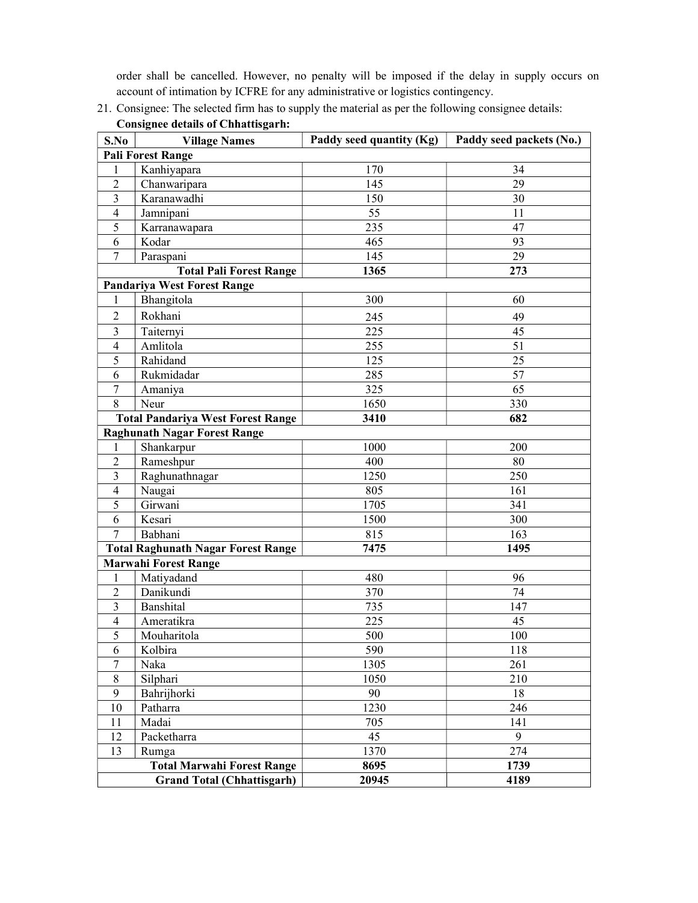order shall be cancelled. However, no penalty will be imposed if the delay in supply occurs on account of intimation by ICFRE for any administrative or logistics contingency.

| S.No                              | <b>Village Names</b>                      | Paddy seed quantity (Kg) | Paddy seed packets (No.) |  |  |  |
|-----------------------------------|-------------------------------------------|--------------------------|--------------------------|--|--|--|
| <b>Pali Forest Range</b>          |                                           |                          |                          |  |  |  |
|                                   | Kanhiyapara                               | 170                      | 34                       |  |  |  |
| 2                                 | Chanwaripara                              | 145                      | 29                       |  |  |  |
| 3                                 | Karanawadhi                               | 150                      | 30                       |  |  |  |
| 4                                 | Jamnipani                                 | 55                       | 11                       |  |  |  |
| 5                                 | Karranawapara                             | 235                      | 47                       |  |  |  |
| 6                                 | Kodar                                     | 465                      | 93                       |  |  |  |
| $\overline{7}$                    | Paraspani                                 | 145                      | 29                       |  |  |  |
|                                   | <b>Total Pali Forest Range</b>            | 1365                     | 273                      |  |  |  |
|                                   | <b>Pandariya West Forest Range</b>        |                          |                          |  |  |  |
| $\mathbf{1}$                      | Bhangitola                                | 300                      | 60                       |  |  |  |
| $\overline{2}$                    | Rokhani                                   | 245                      | 49                       |  |  |  |
| 3                                 | Taiternyi                                 | 225                      | 45                       |  |  |  |
| $\overline{4}$                    | Amlitola                                  | 255                      | 51                       |  |  |  |
| 5                                 | Rahidand                                  | 125                      | 25                       |  |  |  |
| 6                                 | Rukmidadar                                | 285                      | 57                       |  |  |  |
| 7                                 | Amaniya                                   | 325                      | 65                       |  |  |  |
| 8                                 | Neur                                      | 1650                     | 330                      |  |  |  |
|                                   | <b>Total Pandariya West Forest Range</b>  | 3410                     | 682                      |  |  |  |
|                                   | <b>Raghunath Nagar Forest Range</b>       |                          |                          |  |  |  |
| 1                                 | Shankarpur                                | 1000                     | 200                      |  |  |  |
| $\overline{2}$                    | Rameshpur                                 | 400                      | 80                       |  |  |  |
| 3                                 | Raghunathnagar                            | 1250                     | 250                      |  |  |  |
| $\overline{4}$                    | Naugai                                    | 805                      | 161                      |  |  |  |
| 5                                 | Girwani                                   | 1705                     | 341                      |  |  |  |
| 6                                 | Kesari                                    | 1500                     | 300                      |  |  |  |
| 7                                 | Babhani                                   | 815                      | 163                      |  |  |  |
|                                   | <b>Total Raghunath Nagar Forest Range</b> | 7475                     | 1495                     |  |  |  |
| <b>Marwahi Forest Range</b>       |                                           |                          |                          |  |  |  |
| 1                                 | Matiyadand                                | 480                      | 96                       |  |  |  |
| 2                                 | Danikundi                                 | 370                      | 74                       |  |  |  |
| 3                                 | Banshital                                 | 735                      | 147                      |  |  |  |
| 4                                 | Ameratikra                                | 225                      | 45                       |  |  |  |
| 5                                 | Mouharitola                               | 500                      | 100                      |  |  |  |
| 6                                 | Kolbira                                   | 590                      | 118                      |  |  |  |
| $\tau$                            | Naka                                      | 1305                     | 261                      |  |  |  |
| $8\,$                             | Silphari                                  | 1050                     | 210                      |  |  |  |
| 9                                 | Bahrijhorki                               | 90                       | 18                       |  |  |  |
| 10                                | Patharra                                  | 1230                     | 246                      |  |  |  |
| 11                                | Madai                                     | 705                      | 141                      |  |  |  |
| 12                                | Packetharra                               | 45                       | 9                        |  |  |  |
| 13                                | Rumga                                     | 1370                     | 274                      |  |  |  |
| <b>Total Marwahi Forest Range</b> |                                           | 8695                     | 1739                     |  |  |  |
| <b>Grand Total (Chhattisgarh)</b> |                                           | 20945                    | 4189                     |  |  |  |

 $\mathbf{I}$ 

21. Consignee: The selected firm has to supply the material as per the following consignee details: Consignee details of Chhattisgarh: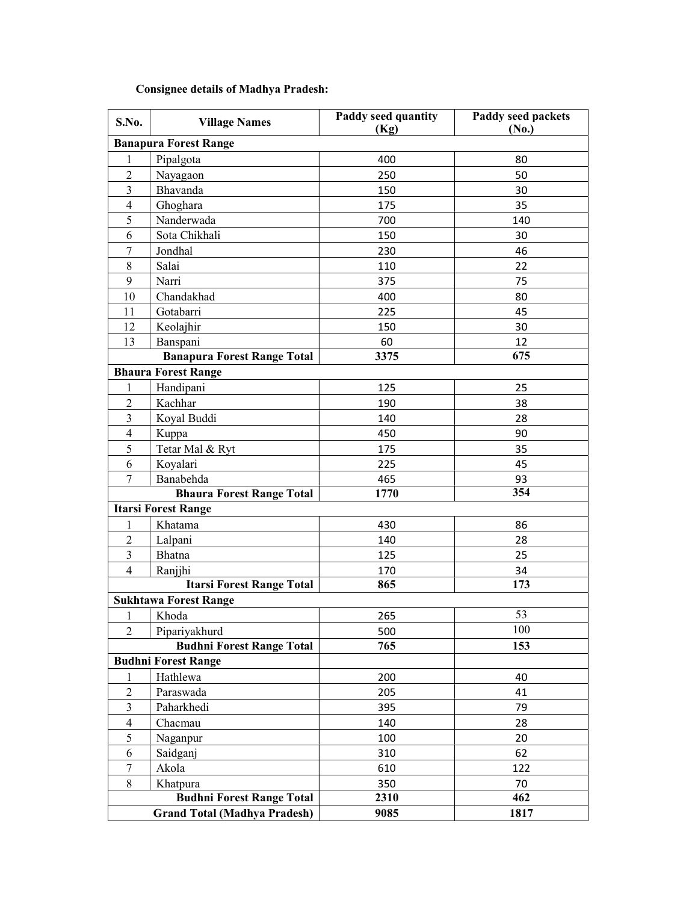# Consignee details of Madhya Pradesh:

| S.No.                               | <b>Village Names</b>               | <b>Paddy seed quantity</b><br>(Kg) | <b>Paddy seed packets</b><br>(No.) |  |  |  |
|-------------------------------------|------------------------------------|------------------------------------|------------------------------------|--|--|--|
| <b>Banapura Forest Range</b>        |                                    |                                    |                                    |  |  |  |
| 1                                   | Pipalgota                          | 400                                | 80                                 |  |  |  |
| $\overline{2}$                      | Nayagaon                           | 250                                | 50                                 |  |  |  |
| 3                                   | Bhavanda                           | 150                                | 30                                 |  |  |  |
| $\overline{4}$                      | Ghoghara                           | 175                                | 35                                 |  |  |  |
| 5                                   | Nanderwada                         | 700                                | 140                                |  |  |  |
| 6                                   | Sota Chikhali                      | 150                                | 30                                 |  |  |  |
| $\overline{7}$                      | Jondhal                            | 230                                | 46                                 |  |  |  |
| $8\,$                               | Salai                              | 110                                | 22                                 |  |  |  |
| 9                                   | Narri                              | 375                                | 75                                 |  |  |  |
| 10                                  | Chandakhad                         | 400                                | 80                                 |  |  |  |
| 11                                  | Gotabarri                          | 225                                | 45                                 |  |  |  |
| 12                                  | Keolajhir                          | 150                                | 30                                 |  |  |  |
| 13                                  | Banspani                           | 60                                 | 12                                 |  |  |  |
|                                     | <b>Banapura Forest Range Total</b> | 3375                               | 675                                |  |  |  |
|                                     | <b>Bhaura Forest Range</b>         |                                    |                                    |  |  |  |
| 1                                   | Handipani                          | 125                                | 25                                 |  |  |  |
| $\overline{c}$                      | Kachhar                            | 190                                | 38                                 |  |  |  |
| 3                                   | Koyal Buddi                        | 140                                | 28                                 |  |  |  |
| $\overline{4}$                      | Kuppa                              | 450                                | 90                                 |  |  |  |
| 5                                   | Tetar Mal & Ryt                    | 175                                | 35                                 |  |  |  |
| 6                                   | Koyalari                           | 225                                | 45                                 |  |  |  |
| 7                                   | Banabehda                          | 465                                | 93                                 |  |  |  |
|                                     | <b>Bhaura Forest Range Total</b>   | 1770                               | 354                                |  |  |  |
|                                     | <b>Itarsi Forest Range</b>         |                                    |                                    |  |  |  |
| 1                                   | Khatama                            | 430                                | 86                                 |  |  |  |
| $\overline{2}$                      | Lalpani                            | 140                                | 28                                 |  |  |  |
| 3                                   | Bhatna                             | 125                                | 25                                 |  |  |  |
| $\overline{4}$                      | Ranjjhi                            | 170                                | 34                                 |  |  |  |
|                                     | <b>Itarsi Forest Range Total</b>   | 865                                | 173                                |  |  |  |
|                                     | <b>Sukhtawa Forest Range</b>       |                                    |                                    |  |  |  |
| $\mathbf{1}$                        | Khoda                              | 265                                | 53                                 |  |  |  |
| 2                                   | Pipariyakhurd                      | 500                                | 100                                |  |  |  |
|                                     | <b>Budhni Forest Range Total</b>   | 765                                | 153                                |  |  |  |
|                                     | <b>Budhni Forest Range</b>         |                                    |                                    |  |  |  |
| 1                                   | Hathlewa                           | 200                                | 40                                 |  |  |  |
| $\mathfrak{2}$                      | Paraswada                          | 205                                | 41                                 |  |  |  |
| 3                                   | Paharkhedi                         | 395                                | 79                                 |  |  |  |
| $\overline{4}$                      | Chacmau                            | 140                                | 28                                 |  |  |  |
| 5                                   | Naganpur                           | 100                                | 20                                 |  |  |  |
| 6                                   | Saidganj                           | 310                                | 62                                 |  |  |  |
| 7                                   | Akola                              | 610                                | 122                                |  |  |  |
| 8                                   | Khatpura                           | 350                                | 70                                 |  |  |  |
| <b>Budhni Forest Range Total</b>    |                                    | 2310                               | 462                                |  |  |  |
| <b>Grand Total (Madhya Pradesh)</b> |                                    | 9085                               | 1817                               |  |  |  |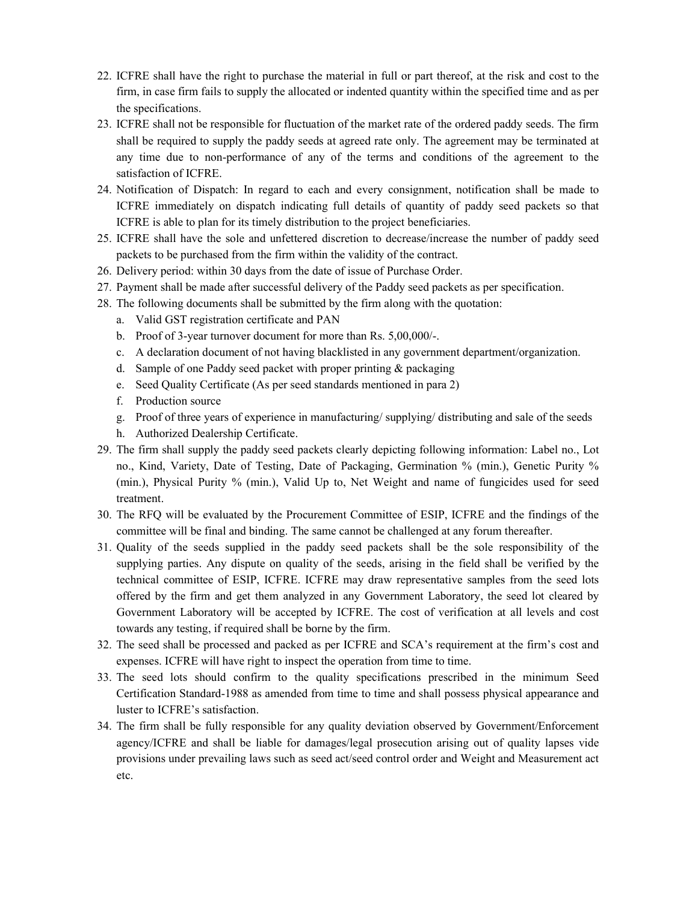- 22. ICFRE shall have the right to purchase the material in full or part thereof, at the risk and cost to the firm, in case firm fails to supply the allocated or indented quantity within the specified time and as per the specifications.
- 23. ICFRE shall not be responsible for fluctuation of the market rate of the ordered paddy seeds. The firm shall be required to supply the paddy seeds at agreed rate only. The agreement may be terminated at any time due to non-performance of any of the terms and conditions of the agreement to the satisfaction of ICFRE.
- 24. Notification of Dispatch: In regard to each and every consignment, notification shall be made to ICFRE immediately on dispatch indicating full details of quantity of paddy seed packets so that ICFRE is able to plan for its timely distribution to the project beneficiaries.
- 25. ICFRE shall have the sole and unfettered discretion to decrease/increase the number of paddy seed packets to be purchased from the firm within the validity of the contract.
- 26. Delivery period: within 30 days from the date of issue of Purchase Order.
- 27. Payment shall be made after successful delivery of the Paddy seed packets as per specification.
- 28. The following documents shall be submitted by the firm along with the quotation:
	- a. Valid GST registration certificate and PAN
	- b. Proof of 3-year turnover document for more than Rs. 5,00,000/-.
	- c. A declaration document of not having blacklisted in any government department/organization.
	- d. Sample of one Paddy seed packet with proper printing & packaging
	- e. Seed Quality Certificate (As per seed standards mentioned in para 2)
	- f. Production source
	- g. Proof of three years of experience in manufacturing/ supplying/ distributing and sale of the seeds
	- h. Authorized Dealership Certificate.
- 29. The firm shall supply the paddy seed packets clearly depicting following information: Label no., Lot no., Kind, Variety, Date of Testing, Date of Packaging, Germination % (min.), Genetic Purity % (min.), Physical Purity % (min.), Valid Up to, Net Weight and name of fungicides used for seed treatment.
- 30. The RFQ will be evaluated by the Procurement Committee of ESIP, ICFRE and the findings of the committee will be final and binding. The same cannot be challenged at any forum thereafter.
- 31. Quality of the seeds supplied in the paddy seed packets shall be the sole responsibility of the supplying parties. Any dispute on quality of the seeds, arising in the field shall be verified by the technical committee of ESIP, ICFRE. ICFRE may draw representative samples from the seed lots offered by the firm and get them analyzed in any Government Laboratory, the seed lot cleared by Government Laboratory will be accepted by ICFRE. The cost of verification at all levels and cost towards any testing, if required shall be borne by the firm.
- 32. The seed shall be processed and packed as per ICFRE and SCA's requirement at the firm's cost and expenses. ICFRE will have right to inspect the operation from time to time.
- 33. The seed lots should confirm to the quality specifications prescribed in the minimum Seed Certification Standard-1988 as amended from time to time and shall possess physical appearance and luster to ICFRE's satisfaction.
- 34. The firm shall be fully responsible for any quality deviation observed by Government/Enforcement agency/ICFRE and shall be liable for damages/legal prosecution arising out of quality lapses vide provisions under prevailing laws such as seed act/seed control order and Weight and Measurement act etc.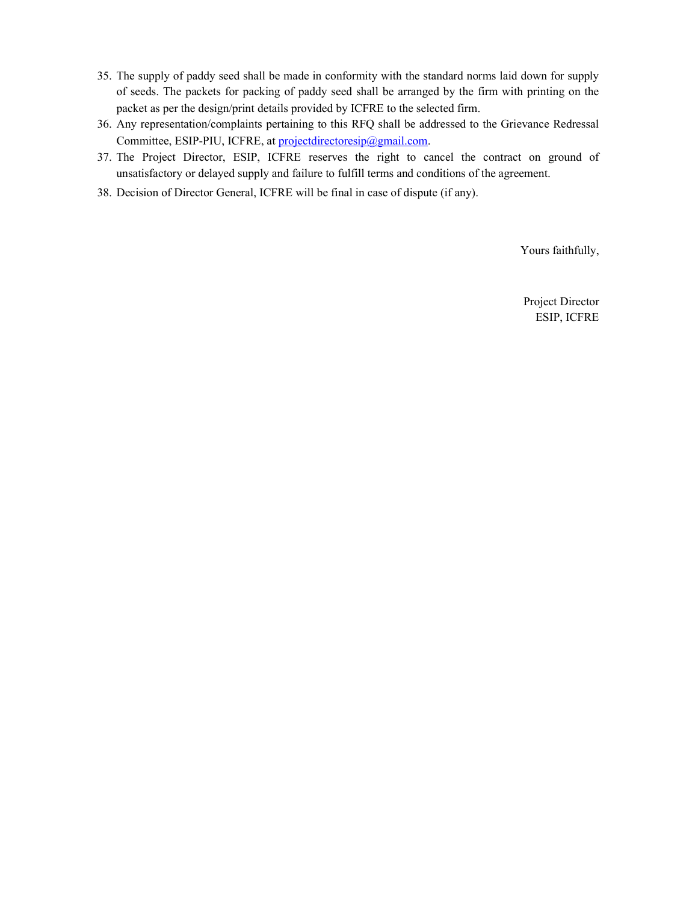- 35. The supply of paddy seed shall be made in conformity with the standard norms laid down for supply of seeds. The packets for packing of paddy seed shall be arranged by the firm with printing on the packet as per the design/print details provided by ICFRE to the selected firm.
- 36. Any representation/complaints pertaining to this RFQ shall be addressed to the Grievance Redressal Committee, ESIP-PIU, ICFRE, at projectdirectoresip@gmail.com.
- 37. The Project Director, ESIP, ICFRE reserves the right to cancel the contract on ground of unsatisfactory or delayed supply and failure to fulfill terms and conditions of the agreement.
- 38. Decision of Director General, ICFRE will be final in case of dispute (if any).

Yours faithfully,

Project Director ESIP, ICFRE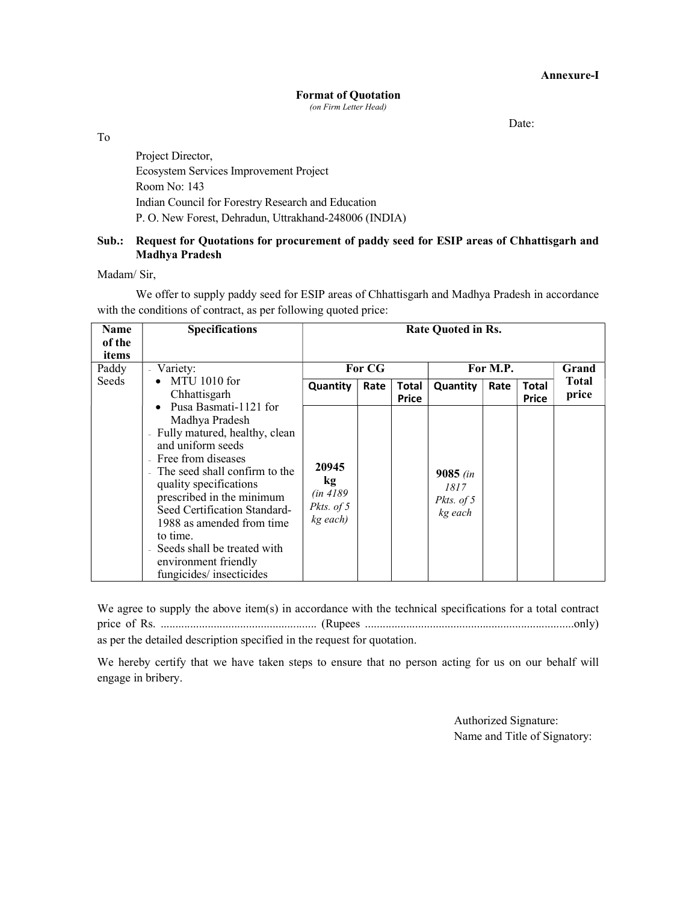Annexure-I

#### Format of Quotation (on Firm Letter Head)

Date:

To

Project Director, Ecosystem Services Improvement Project Room No: 143 Indian Council for Forestry Research and Education P. O. New Forest, Dehradun, Uttrakhand-248006 (INDIA)

## Sub.: Request for Quotations for procurement of paddy seed for ESIP areas of Chhattisgarh and Madhya Pradesh

Madam/ Sir,

We offer to supply paddy seed for ESIP areas of Chhattisgarh and Madhya Pradesh in accordance with the conditions of contract, as per following quoted price:

| <b>Name</b><br>of the<br>items | <b>Specifications</b>                                                                                                                                                                                                                                                                                                                                                                                                            | <b>Rate Quoted in Rs.</b>                          |      |                       |                                             |      |                              |                       |
|--------------------------------|----------------------------------------------------------------------------------------------------------------------------------------------------------------------------------------------------------------------------------------------------------------------------------------------------------------------------------------------------------------------------------------------------------------------------------|----------------------------------------------------|------|-----------------------|---------------------------------------------|------|------------------------------|-----------------------|
| Paddy                          | - Variety:                                                                                                                                                                                                                                                                                                                                                                                                                       | For CG                                             |      |                       | For M.P.                                    |      |                              | Grand                 |
| <b>Seeds</b>                   | MTU 1010 for<br>Chhattisgarh<br>Pusa Basmati-1121 for<br>$\bullet$<br>Madhya Pradesh<br>Fully matured, healthy, clean<br>$\bar{a}$<br>and uniform seeds<br>Free from diseases<br>The seed shall confirm to the<br>quality specifications<br>prescribed in the minimum<br>Seed Certification Standard-<br>1988 as amended from time<br>to time.<br>Seeds shall be treated with<br>environment friendly<br>fungicides/insecticides | Quantity                                           | Rate | Total<br><b>Price</b> | Quantity                                    | Rate | <b>Total</b><br><b>Price</b> | <b>Total</b><br>price |
|                                |                                                                                                                                                                                                                                                                                                                                                                                                                                  | 20945<br>kg<br>(in 4189)<br>Pkts. of 5<br>kg each) |      |                       | $9085$ (in<br>1817<br>Pkts. of 5<br>kg each |      |                              |                       |

We agree to supply the above item(s) in accordance with the technical specifications for a total contract price of Rs. ..................................................... (Rupees .......................................................................only) as per the detailed description specified in the request for quotation.

We hereby certify that we have taken steps to ensure that no person acting for us on our behalf will engage in bribery.

> Authorized Signature: Name and Title of Signatory: